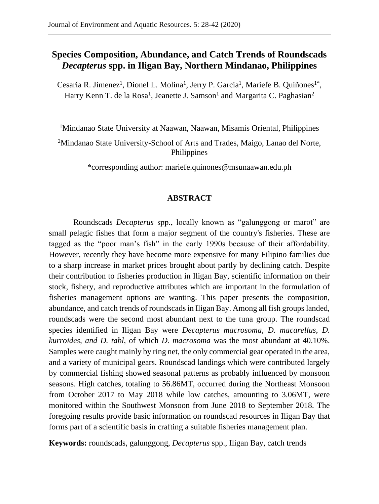# **Species Composition, Abundance, and Catch Trends of Roundscads**  *Decapterus* **spp. in Iligan Bay, Northern Mindanao, Philippines**

Cesaria R. Jimenez<sup>1</sup>, Dionel L. Molina<sup>1</sup>, Jerry P. Garcia<sup>1</sup>, Mariefe B. Quiñones<sup>1\*</sup>, Harry Kenn T. de la Rosa<sup>1</sup>, Jeanette J. Samson<sup>1</sup> and Margarita C. Paghasian<sup>2</sup>

<sup>1</sup>Mindanao State University at Naawan, Naawan, Misamis Oriental, Philippines

<sup>2</sup>Mindanao State University-School of Arts and Trades, Maigo, Lanao del Norte, Philippines

\*corresponding author: mariefe.quinones@msunaawan.edu.ph

# **ABSTRACT**

Roundscads *Decapterus* spp., locally known as "galunggong or marot" are small pelagic fishes that form a major segment of the country's fisheries. These are tagged as the "poor man's fish" in the early 1990s because of their affordability. However, recently they have become more expensive for many Filipino families due to a sharp increase in market prices brought about partly by declining catch. Despite their contribution to fisheries production in Iligan Bay, scientific information on their stock, fishery, and reproductive attributes which are important in the formulation of fisheries management options are wanting. This paper presents the composition, abundance, and catch trends of roundscads in Iligan Bay. Among all fish groups landed, roundscads were the second most abundant next to the tuna group. The roundscad species identified in Iligan Bay were *Decapterus macrosoma*, *D. macarellus*, *D. kurroides*, *and D. tabl*, of which *D. macrosoma* was the most abundant at 40.10%. Samples were caught mainly by ring net, the only commercial gear operated in the area, and a variety of municipal gears. Roundscad landings which were contributed largely by commercial fishing showed seasonal patterns as probably influenced by monsoon seasons. High catches, totaling to 56.86MT, occurred during the Northeast Monsoon from October 2017 to May 2018 while low catches, amounting to 3.06MT, were monitored within the Southwest Monsoon from June 2018 to September 2018. The foregoing results provide basic information on roundscad resources in Iligan Bay that forms part of a scientific basis in crafting a suitable fisheries management plan.

**Keywords:** roundscads, galunggong, *Decapterus* spp., Iligan Bay, catch trends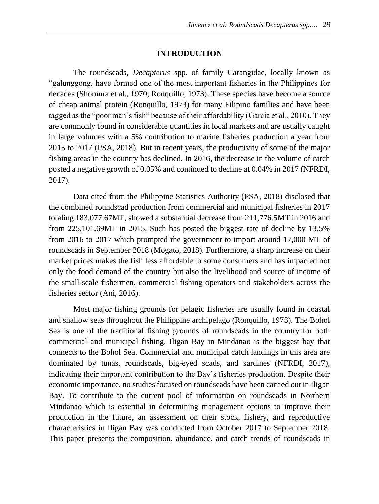#### **INTRODUCTION**

The roundscads, *Decapterus* spp. of family Carangidae, locally known as "galunggong, have formed one of the most important fisheries in the Philippines for decades (Shomura et al., 1970; Ronquillo, 1973). These species have become a source of cheap animal protein (Ronquillo, 1973) for many Filipino families and have been tagged as the "poor man's fish" because of their affordability (Garcia et al., 2010). They are commonly found in considerable quantities in local markets and are usually caught in large volumes with a 5% contribution to marine fisheries production a year from 2015 to 2017 (PSA, 2018). But in recent years, the productivity of some of the major fishing areas in the country has declined. In 2016, the decrease in the volume of catch posted a negative growth of 0.05% and continued to decline at 0.04% in 2017 (NFRDI, 2017).

Data cited from the Philippine Statistics Authority (PSA, 2018) disclosed that the combined roundscad production from commercial and municipal fisheries in 2017 totaling 183,077.67MT, showed a substantial decrease from 211,776.5MT in 2016 and from 225,101.69MT in 2015. Such has posted the biggest rate of decline by 13.5% from 2016 to 2017 which prompted the government to import around 17,000 MT of roundscads in September 2018 (Mogato, 2018). Furthermore, a sharp increase on their market prices makes the fish less affordable to some consumers and has impacted not only the food demand of the country but also the livelihood and source of income of the small-scale fishermen, commercial fishing operators and stakeholders across the fisheries sector (Ani, 2016).

Most major fishing grounds for pelagic fisheries are usually found in coastal and shallow seas throughout the Philippine archipelago (Ronquillo, 1973). The Bohol Sea is one of the traditional fishing grounds of roundscads in the country for both commercial and municipal fishing. Iligan Bay in Mindanao is the biggest bay that connects to the Bohol Sea. Commercial and municipal catch landings in this area are dominated by tunas, roundscads, big-eyed scads, and sardines (NFRDI, 2017), indicating their important contribution to the Bay's fisheries production. Despite their economic importance, no studies focused on roundscads have been carried out in Iligan Bay. To contribute to the current pool of information on roundscads in Northern Mindanao which is essential in determining management options to improve their production in the future, an assessment on their stock, fishery, and reproductive characteristics in Iligan Bay was conducted from October 2017 to September 2018. This paper presents the composition, abundance, and catch trends of roundscads in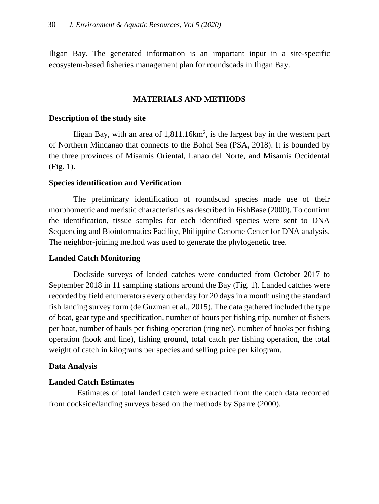Iligan Bay. The generated information is an important input in a site-specific ecosystem-based fisheries management plan for roundscads in Iligan Bay.

#### **MATERIALS AND METHODS**

#### **Description of the study site**

Iligan Bay, with an area of  $1,811.16km^2$ , is the largest bay in the western part of Northern Mindanao that connects to the Bohol Sea (PSA, 2018). It is bounded by the three provinces of Misamis Oriental, Lanao del Norte, and Misamis Occidental (Fig. 1).

#### **Species identification and Verification**

The preliminary identification of roundscad species made use of their morphometric and meristic characteristics as described in FishBase (2000). To confirm the identification, tissue samples for each identified species were sent to DNA Sequencing and Bioinformatics Facility, Philippine Genome Center for DNA analysis. The neighbor-joining method was used to generate the phylogenetic tree.

#### **Landed Catch Monitoring**

Dockside surveys of landed catches were conducted from October 2017 to September 2018 in 11 sampling stations around the Bay (Fig. 1). Landed catches were recorded by field enumerators every other day for 20 days in a month using the standard fish landing survey form (de Guzman et al., 2015). The data gathered included the type of boat, gear type and specification, number of hours per fishing trip, number of fishers per boat, number of hauls per fishing operation (ring net), number of hooks per fishing operation (hook and line), fishing ground, total catch per fishing operation, the total weight of catch in kilograms per species and selling price per kilogram.

#### **Data Analysis**

### **Landed Catch Estimates**

Estimates of total landed catch were extracted from the catch data recorded from dockside/landing surveys based on the methods by Sparre (2000).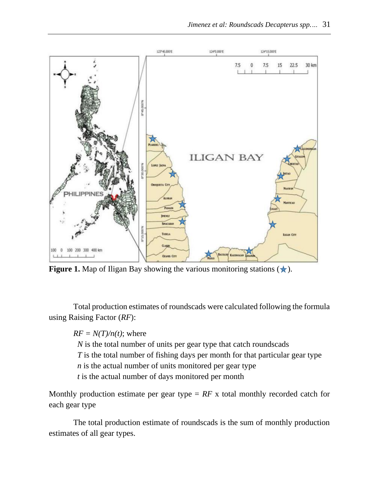

**Figure 1.** Map of Iligan Bay showing the various monitoring stations  $(\star)$ .

Total production estimates of roundscads were calculated following the formula using Raising Factor (*RF*):

 $RF = N(T)/n(t)$ ; where

*N* is the total number of units per gear type that catch roundscads

*T* is the total number of fishing days per month for that particular gear type

*n* is the actual number of units monitored per gear type

*t* is the actual number of days monitored per month

Monthly production estimate per gear type  $= RF \times$  total monthly recorded catch for each gear type

The total production estimate of roundscads is the sum of monthly production estimates of all gear types.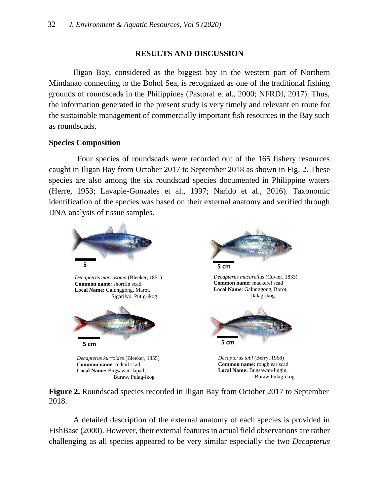# **RESULTS AND DISCUSSION**

Iligan Bay, considered as the biggest bay in the western part of Northern Mindanao connecting to the Bohol Sea, is recognized as one of the traditional fishing grounds of roundscads in the Philippines (Pastoral et al., 2000; NFRDI, 2017). Thus, the information generated in the present study is very timely and relevant en route for the sustainable management of commercially important fish resources in the Bay such as roundscads.

# **Species Composition**

Four species of roundscads were recorded out of the 165 fishery resources caught in Iligan Bay from October 2017 to September 2018 as shown in Fig. 2. These species are also among the six roundscad species documented in Philippine waters (Herre, 1953; Lavapie-Gonzales et al., 1997; Narido et al., 2016). Taxonomic identification of the species was based on their external anatomy and verified through DNA analysis of tissue samples.



**Figure 2.** Roundscad species recorded in Iligan Bay from October 2017 to September 2018.

A detailed description of the external anatomy of each species is provided in FishBase (2000). However, their external features in actual field observations are rather challenging as all species appeared to be very similar especially the two *Decapterus*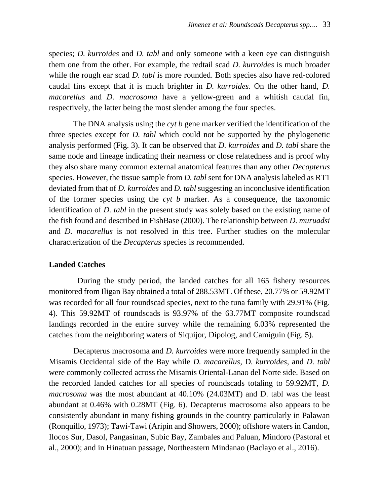species; *D. kurroides* and *D. tabl* and only someone with a keen eye can distinguish them one from the other. For example, the redtail scad *D. kurroides* is much broader while the rough ear scad *D. tabl* is more rounded. Both species also have red-colored caudal fins except that it is much brighter in *D. kurroides*. On the other hand, *D. macarellus* and *D. macrosoma* have a yellow-green and a whitish caudal fin, respectively, the latter being the most slender among the four species.

The DNA analysis using the *cyt b* gene marker verified the identification of the three species except for *D. tabl* which could not be supported by the phylogenetic analysis performed (Fig. 3). It can be observed that *D. kurroides* and *D. tabl* share the same node and lineage indicating their nearness or close relatedness and is proof why they also share many common external anatomical features than any other *Decapterus* species. However, the tissue sample from *D. tabl* sent for DNA analysis labeled as RT1 deviated from that of *D. kurroides* and *D. tabl* suggesting an inconclusive identification of the former species using the *cyt b* marker. As a consequence, the taxonomic identification of *D. tabl* in the present study was solely based on the existing name of the fish found and described in FishBase (2000). The relationship between *D. muruadsi* and *D. macarellus* is not resolved in this tree. Further studies on the molecular characterization of the *Decapterus* species is recommended.

#### **Landed Catches**

During the study period, the landed catches for all 165 fishery resources monitored from Iligan Bay obtained a total of 288.53MT. Of these, 20.77% or 59.92MT was recorded for all four roundscad species, next to the tuna family with 29.91% (Fig. 4). This 59.92MT of roundscads is 93.97% of the 63.77MT composite roundscad landings recorded in the entire survey while the remaining 6.03% represented the catches from the neighboring waters of Siquijor, Dipolog, and Camiguin (Fig. 5).

Decapterus macrosoma and *D. kurroides* were more frequently sampled in the Misamis Occidental side of the Bay while *D. macarellus*, D*. kurroides*, and *D. tabl* were commonly collected across the Misamis Oriental-Lanao del Norte side. Based on the recorded landed catches for all species of roundscads totaling to 59.92MT, *D. macrosoma* was the most abundant at 40.10% (24.03MT) and D. tabl was the least abundant at 0.46% with 0.28MT (Fig. 6). Decapterus macrosoma also appears to be consistently abundant in many fishing grounds in the country particularly in Palawan (Ronquillo, 1973); Tawi-Tawi (Aripin and Showers, 2000); offshore waters in Candon, Ilocos Sur, Dasol, Pangasinan, Subic Bay, Zambales and Paluan, Mindoro (Pastoral et al., 2000); and in Hinatuan passage, Northeastern Mindanao (Baclayo et al., 2016).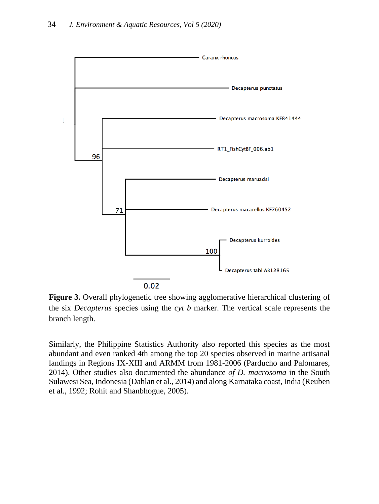

**Figure 3.** Overall phylogenetic tree showing agglomerative hierarchical clustering of the six *Decapterus* species using the *cyt b* marker. The vertical scale represents the branch length.

Similarly, the Philippine Statistics Authority also reported this species as the most abundant and even ranked 4th among the top 20 species observed in marine artisanal landings in Regions IX-XIII and ARMM from 1981-2006 (Parducho and Palomares, 2014). Other studies also documented the abundance *of D. macrosoma* in the South Sulawesi Sea, Indonesia (Dahlan et al., 2014) and along Karnataka coast, India (Reuben et al., 1992; Rohit and Shanbhogue, 2005).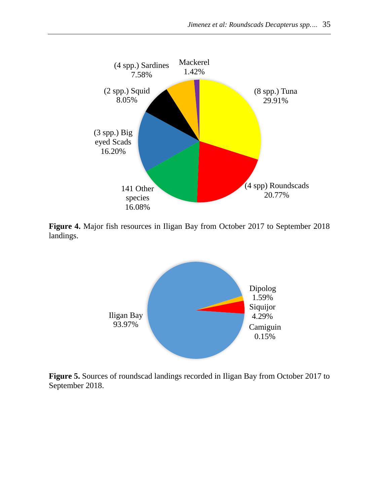

**Figure 4.** Major fish resources in Iligan Bay from October 2017 to September 2018 landings.



**Figure 5.** Sources of roundscad landings recorded in Iligan Bay from October 2017 to September 2018.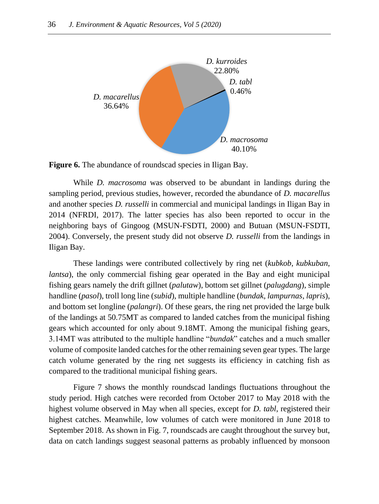

**Figure 6.** The abundance of roundscad species in Iligan Bay.

While *D. macrosoma* was observed to be abundant in landings during the sampling period, previous studies, however, recorded the abundance of *D. macarellus* and another species *D. russelli* in commercial and municipal landings in Iligan Bay in 2014 (NFRDI, 2017). The latter species has also been reported to occur in the neighboring bays of Gingoog (MSUN-FSDTI, 2000) and Butuan (MSUN-FSDTI, 2004). Conversely, the present study did not observe *D. russelli* from the landings in Iligan Bay.

These landings were contributed collectively by ring net (*kubkob*, *kubkuban*, *lantsa*), the only commercial fishing gear operated in the Bay and eight municipal fishing gears namely the drift gillnet (*palutaw*), bottom set gillnet (*palugdang*), simple handline (*pasol*), troll long line (*subid*), multiple handline (*bundak*, *lampurnas*, *lapris*), and bottom set longline (*palangri*). Of these gears, the ring net provided the large bulk of the landings at 50.75MT as compared to landed catches from the municipal fishing gears which accounted for only about 9.18MT. Among the municipal fishing gears, 3.14MT was attributed to the multiple handline "*bundak*" catches and a much smaller volume of composite landed catches for the other remaining seven gear types. The large catch volume generated by the ring net suggests its efficiency in catching fish as compared to the traditional municipal fishing gears.

Figure 7 shows the monthly roundscad landings fluctuations throughout the study period. High catches were recorded from October 2017 to May 2018 with the highest volume observed in May when all species, except for *D. tabl*, registered their highest catches. Meanwhile, low volumes of catch were monitored in June 2018 to September 2018. As shown in Fig. 7, roundscads are caught throughout the survey but, data on catch landings suggest seasonal patterns as probably influenced by monsoon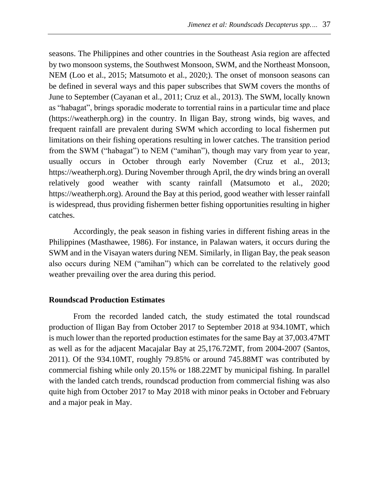seasons. The Philippines and other countries in the Southeast Asia region are affected by two monsoon systems, the Southwest Monsoon, SWM, and the Northeast Monsoon, NEM (Loo et al., 2015; Matsumoto et al., 2020;). The onset of monsoon seasons can be defined in several ways and this paper subscribes that SWM covers the months of June to September (Cayanan et al., 2011; Cruz et al., 2013). The SWM, locally known as "habagat", brings sporadic moderate to torrential rains in a particular time and place (https://weatherph.org) in the country. In Iligan Bay, strong winds, big waves, and frequent rainfall are prevalent during SWM which according to local fishermen put limitations on their fishing operations resulting in lower catches. The transition period from the SWM ("habagat") to NEM ("amihan"), though may vary from year to year, usually occurs in October through early November (Cruz et al., 2013; https://weatherph.org). During November through April, the dry winds bring an overall relatively good weather with scanty rainfall (Matsumoto et al., 2020; https://weatherph.org). Around the Bay at this period, good weather with lesser rainfall is widespread, thus providing fishermen better fishing opportunities resulting in higher catches.

Accordingly, the peak season in fishing varies in different fishing areas in the Philippines (Masthawee, 1986). For instance, in Palawan waters, it occurs during the SWM and in the Visayan waters during NEM. Similarly, in Iligan Bay, the peak season also occurs during NEM ("amihan") which can be correlated to the relatively good weather prevailing over the area during this period.

#### **Roundscad Production Estimates**

From the recorded landed catch, the study estimated the total roundscad production of Iligan Bay from October 2017 to September 2018 at 934.10MT, which is much lower than the reported production estimates for the same Bay at 37,003.47MT as well as for the adjacent Macajalar Bay at 25,176.72MT, from 2004-2007 (Santos, 2011). Of the 934.10MT, roughly 79.85% or around 745.88MT was contributed by commercial fishing while only 20.15% or 188.22MT by municipal fishing. In parallel with the landed catch trends, roundscad production from commercial fishing was also quite high from October 2017 to May 2018 with minor peaks in October and February and a major peak in May.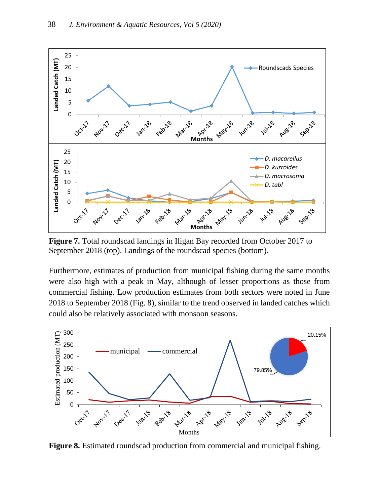

**Figure 7.** Total roundscad landings in Iligan Bay recorded from October 2017 to September 2018 (top). Landings of the roundscad species (bottom).

Furthermore, estimates of production from municipal fishing during the same months were also high with a peak in May, although of lesser proportions as those from commercial fishing. Low production estimates from both sectors were noted in June 2018 to September 2018 (Fig. 8), similar to the trend observed in landed catches which could also be relatively associated with monsoon seasons.



**Figure 8.** Estimated roundscad production from commercial and municipal fishing.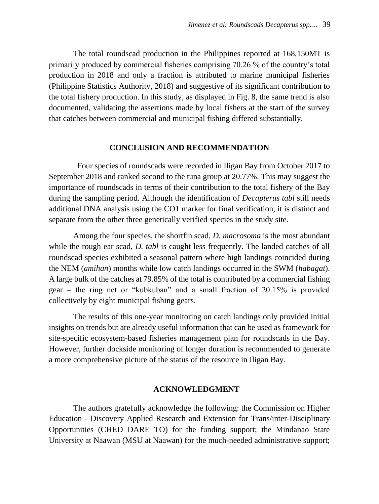The total roundscad production in the Philippines reported at 168,150MT is primarily produced by commercial fisheries comprising 70.26 % of the country's total production in 2018 and only a fraction is attributed to marine municipal fisheries (Philippine Statistics Authority, 2018) and suggestive of its significant contribution to the total fishery production. In this study, as displayed in Fig. 8, the same trend is also documented, validating the assertions made by local fishers at the start of the survey that catches between commercial and municipal fishing differed substantially.

### **CONCLUSION AND RECOMMENDATION**

Four species of roundscads were recorded in Iligan Bay from October 2017 to September 2018 and ranked second to the tuna group at 20.77%. This may suggest the importance of roundscads in terms of their contribution to the total fishery of the Bay during the sampling period. Although the identification of *Decapterus tabl* still needs additional DNA analysis using the CO1 marker for final verification, it is distinct and separate from the other three genetically verified species in the study site.

Among the four species, the shortfin scad, *D. macrosoma* is the most abundant while the rough ear scad, *D. tabl* is caught less frequently. The landed catches of all roundscad species exhibited a seasonal pattern where high landings coincided during the NEM (*amihan*) months while low catch landings occurred in the SWM (*habagat*). A large bulk of the catches at 79.85% of the total is contributed by a commercial fishing gear – the ring net or "kubkuban" and a small fraction of 20.15% is provided collectively by eight municipal fishing gears.

The results of this one-year monitoring on catch landings only provided initial insights on trends but are already useful information that can be used as framework for site-specific ecosystem-based fisheries management plan for roundscads in the Bay. However, further dockside monitoring of longer duration is recommended to generate a more comprehensive picture of the status of the resource in Iligan Bay.

#### **ACKNOWLEDGMENT**

The authors gratefully acknowledge the following: the Commission on Higher Education - Discovery Applied Research and Extension for Trans/inter-Disciplinary Opportunities (CHED DARE TO) for the funding support; the Mindanao State University at Naawan (MSU at Naawan) for the much-needed administrative support;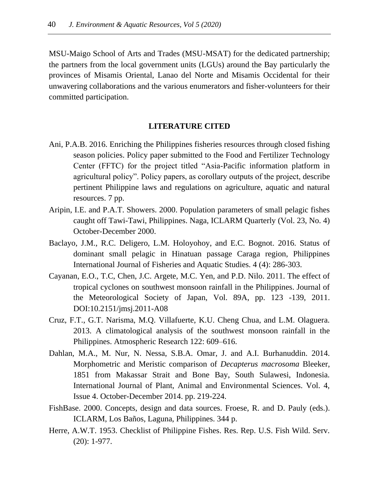MSU-Maigo School of Arts and Trades (MSU-MSAT) for the dedicated partnership; the partners from the local government units (LGUs) around the Bay particularly the provinces of Misamis Oriental, Lanao del Norte and Misamis Occidental for their unwavering collaborations and the various enumerators and fisher-volunteers for their committed participation.

# **LITERATURE CITED**

- Ani, P.A.B. 2016. Enriching the Philippines fisheries resources through closed fishing season policies. Policy paper submitted to the Food and Fertilizer Technology Center (FFTC) for the project titled "Asia-Pacific information platform in agricultural policy". Policy papers, as corollary outputs of the project, describe pertinent Philippine laws and regulations on agriculture, aquatic and natural resources. 7 pp.
- Aripin, I.E. and P.A.T. Showers. 2000. Population parameters of small pelagic fishes caught off Tawi-Tawi, Philippines. Naga, ICLARM Quarterly (Vol. 23, No. 4) October-December 2000.
- Baclayo, J.M., R.C. Deligero, L.M. Holoyohoy, and E.C. Bognot. 2016. Status of dominant small pelagic in Hinatuan passage Caraga region, Philippines International Journal of Fisheries and Aquatic Studies. 4 (4): 286-303.
- Cayanan, E.O., T.C, Chen, J.C. Argete, M.C. Yen, and P.D. Nilo. 2011. The effect of tropical cyclones on southwest monsoon rainfall in the Philippines. Journal of the Meteorological Society of Japan, Vol. 89A, pp. 123 -139, 2011. DOI:10.2151/jmsj.2011-A08
- Cruz, F.T., G.T. Narisma, M.Q. Villafuerte, K.U. Cheng Chua, and L.M. Olaguera. 2013. A climatological analysis of the southwest monsoon rainfall in the Philippines. Atmospheric Research 122: 609–616.
- Dahlan, M.A., M. Nur, N. Nessa, S.B.A. Omar, J. and A.I. Burhanuddin. 2014. Morphometric and Meristic comparison of *Decapterus macrosoma* Bleeker, 1851 from Makassar Strait and Bone Bay, South Sulawesi, Indonesia. International Journal of Plant, Animal and Environmental Sciences. Vol. 4, Issue 4. October-December 2014. pp. 219-224.
- FishBase. 2000. Concepts, design and data sources. Froese, R. and D. Pauly (eds.). ICLARM, Los Baños, Laguna, Philippines. 344 p.
- Herre, A.W.T. 1953. Checklist of Philippine Fishes. Res. Rep. U.S. Fish Wild. Serv. (20): 1-977.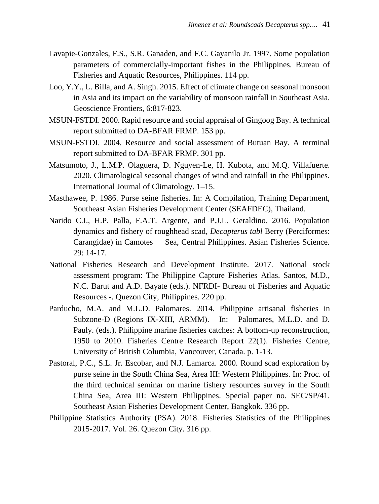- Lavapie-Gonzales, F.S., S.R. Ganaden, and F.C. Gayanilo Jr. 1997. Some population parameters of commercially-important fishes in the Philippines. Bureau of Fisheries and Aquatic Resources, Philippines. 114 pp.
- Loo, Y.Y., L. Billa, and A. Singh. 2015. Effect of climate change on seasonal monsoon in Asia and its impact on the variability of monsoon rainfall in Southeast Asia. Geoscience Frontiers, 6:817-823.
- MSUN-FSTDI. 2000. Rapid resource and social appraisal of Gingoog Bay. A technical report submitted to DA-BFAR FRMP. 153 pp.
- MSUN-FSTDI. 2004. Resource and social assessment of Butuan Bay. A terminal report submitted to DA-BFAR FRMP. 301 pp.
- Matsumoto, J., L.M.P. Olaguera, D. Nguyen-Le, H. Kubota, and M.Q. Villafuerte. 2020. Climatological seasonal changes of wind and rainfall in the Philippines. International Journal of Climatology. 1–15.
- Masthawee, P. 1986. Purse seine fisheries. In: A Compilation, Training Department, Southeast Asian Fisheries Development Center (SEAFDEC), Thailand.
- Narido C.I., H.P. Palla, F.A.T. Argente, and P.J.L. Geraldino. 2016. Population dynamics and fishery of roughhead scad, *Decapterus tabl* Berry (Perciformes: Carangidae) in Camotes Sea, Central Philippines. Asian Fisheries Science. 29: 14-17.
- National Fisheries Research and Development Institute. 2017. National stock assessment program: The Philippine Capture Fisheries Atlas. Santos, M.D., N.C. Barut and A.D. Bayate (eds.). NFRDI- Bureau of Fisheries and Aquatic Resources -. Quezon City, Philippines. 220 pp.
- Parducho, M.A. and M.L.D. Palomares. 2014. Philippine artisanal fisheries in Subzone-D (Regions IX-XIII, ARMM). In: Palomares, M.L.D. and D. Pauly. (eds.). Philippine marine fisheries catches: A bottom-up reconstruction, 1950 to 2010. Fisheries Centre Research Report 22(1). Fisheries Centre, University of British Columbia, Vancouver, Canada. p. 1-13.
- Pastoral, P.C., S.L. Jr. Escobar, and N.J. Lamarca. 2000. Round scad exploration by purse seine in the South China Sea, Area III: Western Philippines. In: Proc. of the third technical seminar on marine fishery resources survey in the South China Sea, Area III: Western Philippines. Special paper no. SEC/SP/41. Southeast Asian Fisheries Development Center, Bangkok. 336 pp.
- Philippine Statistics Authority (PSA). 2018. Fisheries Statistics of the Philippines 2015-2017. Vol. 26. Quezon City. 316 pp.